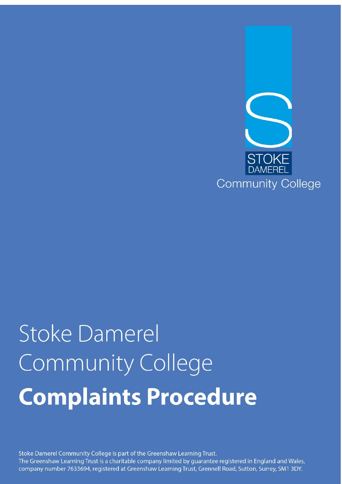

# **Stoke Damerel** Community College **Complaints Procedure**

Stoke Damerel Community College is part of the Greenshaw Learning Trust. The Greenshaw Learning Trust is a charitable company limited by guarantee registered in England and Wales, company number 7633694, registered at Greenshaw Learning Trust, Grennell Road, Sutton, Surrey, SM1 3DY.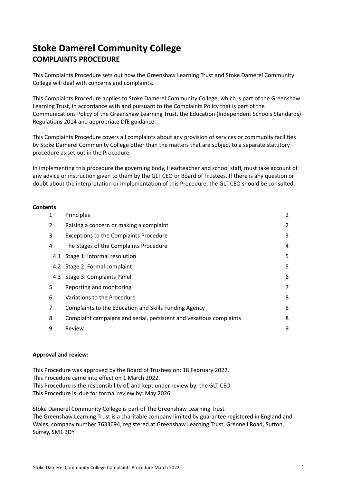# **Stoke Damerel Community College COMPLAINTS PROCEDURE**

This Complaints Procedure sets out how the Greenshaw Learning Trust and Stoke Damerel Community College will deal with concerns and complaints.

This Complaints Procedure applies to Stoke Damerel Community College, which is part of the Greenshaw Learning Trust, in accordance with and pursuant to the Complaints Policy that is part of the Communications Policy of the Greenshaw Learning Trust, the Education (Independent Schools Standards) Regulations 2014 and appropriate DfE guidance.

This Complaints Procedure covers all complaints about any provision of services or community facilities by Stoke Damerel Community College other than the matters that are subject to a separate statutory procedure as set out in the Procedure.

In implementing this procedure the governing body, Headteacher and school staff, must take account of any advice or instruction given to them by the GLT CEO or Board of Trustees. If there is any question or doubt about the interpretation or implementation of this Procedure, the GLT CEO should be consulted.

# **Contents**

| 1 | Principles                                                          | 2 |
|---|---------------------------------------------------------------------|---|
| 2 | Raising a concern or making a complaint                             | 2 |
| 3 | <b>Exceptions to the Complaints Procedure</b>                       | 3 |
| 4 | The Stages of the Complaints Procedure                              | 4 |
|   | 4.1 Stage 1: Informal resolution                                    | 5 |
|   | 4.2 Stage 2: Formal complaint                                       | 5 |
|   | 4.3 Stage 3: Complaints Panel                                       | 6 |
| 5 | Reporting and monitoring                                            | 7 |
| 6 | Variations to the Procedure                                         | 8 |
| 7 | Complaints to the Education and Skills Funding Agency               | 8 |
| 8 | Complaint campaigns and serial, persistent and vexatious complaints | 8 |
| 9 | Review                                                              | 9 |
|   |                                                                     |   |

# **Approval and review:**

This Procedure was approved by the Board of Trustees on: 18 February 2022. This Procedure came into effect on 1 March 2022. This Procedure is the responsibility of, and kept under review by: the GLT CEO This Procedure is due for formal review by: May 2026.

Stoke Damerel Community College is part of The Greenshaw Learning Trust. The Greenshaw Learning Trust is a charitable company limited by guarantee registered in England and Wales, company number 7633694, registered at Greenshaw Learning Trust, Grennell Road, Sutton, Surrey, SM1 3DY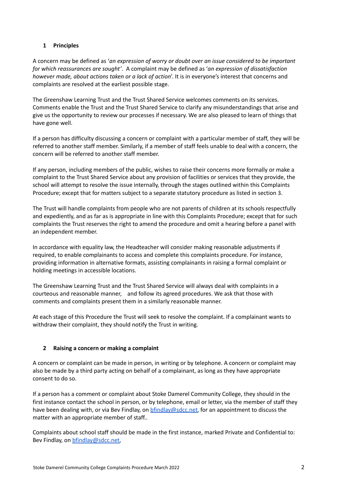# <span id="page-2-0"></span>**1 Principles**

A concern may be defined as '*an expression of worry or doubt over an issue considered to be important for which reassurances are sought'*. A complaint may be defined as '*an expression of dissatisfaction however made, about actions taken or a lack of action*'. It is in everyone's interest that concerns and complaints are resolved at the earliest possible stage.

The Greenshaw Learning Trust and the Trust Shared Service welcomes comments on its services. Comments enable the Trust and the Trust Shared Service to clarify any misunderstandings that arise and give us the opportunity to review our processes if necessary. We are also pleased to learn of things that have gone well.

If a person has difficulty discussing a concern or complaint with a particular member of staff, they will be referred to another staff member. Similarly, if a member of staff feels unable to deal with a concern, the concern will be referred to another staff member.

If any person, including members of the public, wishes to raise their concerns more formally or make a complaint to the Trust Shared Service about any provision of facilities or services that they provide, the school will attempt to resolve the issue internally, through the stages outlined within this Complaints Procedure; except that for matters subject to a separate statutory procedure as listed in section 3.

The Trust will handle complaints from people who are not parents of children at its schools respectfully and expediently, and as far as is appropriate in line with this Complaints Procedure; except that for such complaints the Trust reserves the right to amend the procedure and omit a hearing before a panel with an independent member.

In accordance with equality law, the Headteacher will consider making reasonable adjustments if required, to enable complainants to access and complete this complaints procedure. For instance, providing information in alternative formats, assisting complainants in raising a formal complaint or holding meetings in accessible locations.

The Greenshaw Learning Trust and the Trust Shared Service will always deal with complaints in a courteous and reasonable manner, and follow its agreed procedures. We ask that those with comments and complaints present them in a similarly reasonable manner.

At each stage of this Procedure the Trust will seek to resolve the complaint. If a complainant wants to withdraw their complaint, they should notify the Trust in writing.

# <span id="page-2-1"></span>**2 Raising a concern or making a complaint**

A concern or complaint can be made in person, in writing or by telephone. A concern or complaint may also be made by a third party acting on behalf of a complainant, as long as they have appropriate consent to do so.

If a person has a comment or complaint about Stoke Damerel Community College, they should in the first instance contact the school in person, or by telephone, email or letter, via the member of staff they have been dealing with, or via Bev Findlay, on [bfindlay@sdcc.net](mailto:bfindlay@sdcc.net), for an appointment to discuss the matter with an appropriate member of staff..

Complaints about school staff should be made in the first instance, marked Private and Confidential to: Bev Findlay, on [bfindlay@sdcc.net](mailto:bfindlay@sdcc.net),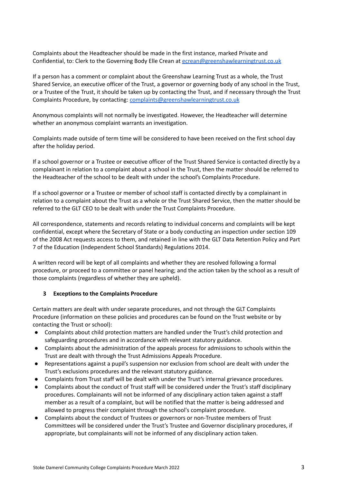Complaints about the Headteacher should be made in the first instance, marked Private and Confidential, to: Clerk to the Governing Body Elle Crean at [ecrean@greenshawlearningtrust.co.uk](mailto:ecrean@greenshawlearningtrust.co.uk)

If a person has a comment or complaint about the Greenshaw Learning Trust as a whole, the Trust Shared Service, an executive officer of the Trust, a governor or governing body of any school in the Trust, or a Trustee of the Trust, it should be taken up by contacting the Trust, and if necessary through the Trust Complaints Procedure, by contacting: [complaints@greenshawlearningtrust.co.uk](mailto:complaints@greenshawlearningtrust.co.uk)

Anonymous complaints will not normally be investigated. However, the Headteacher will determine whether an anonymous complaint warrants an investigation.

Complaints made outside of term time will be considered to have been received on the first school day after the holiday period.

If a school governor or a Trustee or executive officer of the Trust Shared Service is contacted directly by a complainant in relation to a complaint about a school in the Trust, then the matter should be referred to the Headteacher of the school to be dealt with under the school's Complaints Procedure.

If a school governor or a Trustee or member of school staff is contacted directly by a complainant in relation to a complaint about the Trust as a whole or the Trust Shared Service, then the matter should be referred to the GLT CEO to be dealt with under the Trust Complaints Procedure.

All correspondence, statements and records relating to individual concerns and complaints will be kept confidential, except where the Secretary of State or a body conducting an inspection under section 109 of the 2008 Act requests access to them, and retained in line with the GLT Data Retention Policy and Part 7 of the Education (Independent School Standards) Regulations 2014.

A written record will be kept of all complaints and whether they are resolved following a formal procedure, or proceed to a committee or panel hearing; and the action taken by the school as a result of those complaints (regardless of whether they are upheld).

# <span id="page-3-0"></span>**3 Exceptions to the Complaints Procedure**

Certain matters are dealt with under separate procedures, and not through the GLT Complaints Procedure (information on these policies and procedures can be found on the Trust website or by contacting the Trust or school):

- Complaints about child protection matters are handled under the Trust's child protection and safeguarding procedures and in accordance with relevant statutory guidance.
- Complaints about the administration of the appeals process for admissions to schools within the Trust are dealt with through the Trust Admissions Appeals Procedure.
- Representations against a pupil's suspension nor exclusion from school are dealt with under the Trust's exclusions procedures and the relevant statutory guidance.
- Complaints from Trust staff will be dealt with under the Trust's internal grievance procedures.
- Complaints about the conduct of Trust staff will be considered under the Trust's staff disciplinary procedures. Complainants will not be informed of any disciplinary action taken against a staff member as a result of a complaint, but will be notified that the matter is being addressed and allowed to progress their complaint through the school's complaint procedure.
- Complaints about the conduct of Trustees or governors or non-Trustee members of Trust Committees will be considered under the Trust's Trustee and Governor disciplinary procedures, if appropriate, but complainants will not be informed of any disciplinary action taken.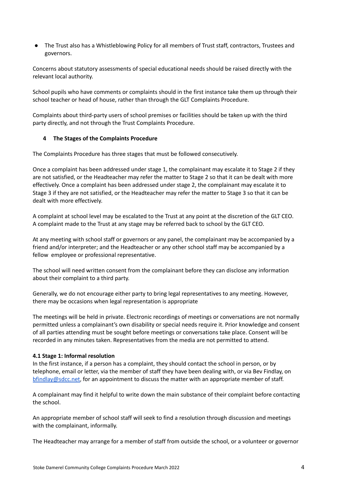The Trust also has a Whistleblowing Policy for all members of Trust staff, contractors, Trustees and governors.

Concerns about statutory assessments of special educational needs should be raised directly with the relevant local authority.

School pupils who have comments or complaints should in the first instance take them up through their school teacher or head of house, rather than through the GLT Complaints Procedure.

Complaints about third-party users of school premises or facilities should be taken up with the third party directly, and not through the Trust Complaints Procedure.

# <span id="page-4-0"></span>**4 The Stages of the Complaints Procedure**

The Complaints Procedure has three stages that must be followed consecutively.

Once a complaint has been addressed under stage 1, the complainant may escalate it to Stage 2 if they are not satisfied, or the Headteacher may refer the matter to Stage 2 so that it can be dealt with more effectively. Once a complaint has been addressed under stage 2, the complainant may escalate it to Stage 3 if they are not satisfied, or the Headteacher may refer the matter to Stage 3 so that it can be dealt with more effectively.

A complaint at school level may be escalated to the Trust at any point at the discretion of the GLT CEO. A complaint made to the Trust at any stage may be referred back to school by the GLT CEO.

At any meeting with school staff or governors or any panel, the complainant may be accompanied by a friend and/or interpreter; and the Headteacher or any other school staff may be accompanied by a fellow employee or professional representative.

The school will need written consent from the complainant before they can disclose any information about their complaint to a third party.

Generally, we do not encourage either party to bring legal representatives to any meeting. However, there may be occasions when legal representation is appropriate

The meetings will be held in private. Electronic recordings of meetings or conversations are not normally permitted unless a complainant's own disability or special needs require it. Prior knowledge and consent of all parties attending must be sought before meetings or conversations take place. Consent will be recorded in any minutes taken. Representatives from the media are not permitted to attend.

#### **4.1 Stage 1: Informal resolution**

In the first instance, if a person has a complaint, they should contact the school in person, or by telephone, email or letter, via the member of staff they have been dealing with, or via Bev Findlay, on [bfindlay@sdcc.net](mailto:bfindlay@sdcc.net), for an appointment to discuss the matter with an appropriate member of staff.

A complainant may find it helpful to write down the main substance of their complaint before contacting the school.

An appropriate member of school staff will seek to find a resolution through discussion and meetings with the complainant, informally.

The Headteacher may arrange for a member of staff from outside the school, or a volunteer or governor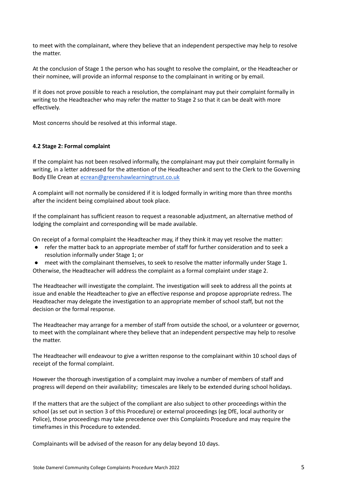to meet with the complainant, where they believe that an independent perspective may help to resolve the matter.

At the conclusion of Stage 1 the person who has sought to resolve the complaint, or the Headteacher or their nominee, will provide an informal response to the complainant in writing or by email.

If it does not prove possible to reach a resolution, the complainant may put their complaint formally in writing to the Headteacher who may refer the matter to Stage 2 so that it can be dealt with more effectively.

Most concerns should be resolved at this informal stage.

#### <span id="page-5-0"></span>**4.2 Stage 2: Formal complaint**

If the complaint has not been resolved informally, the complainant may put their complaint formally in writing, in a letter addressed for the attention of the Headteacher and sent to the Clerk to the Governing Body Elle Crean at [ecrean@greenshawlearningtrust.co.uk](mailto:ecrean@greenshawlearningtrust.co.uk)

A complaint will not normally be considered if it is lodged formally in writing more than three months after the incident being complained about took place.

If the complainant has sufficient reason to request a reasonable adjustment, an alternative method of lodging the complaint and corresponding will be made available.

On receipt of a formal complaint the Headteacher may, if they think it may yet resolve the matter:

- refer the matter back to an appropriate member of staff for further consideration and to seek a resolution informally under Stage 1; or
- meet with the complainant themselves, to seek to resolve the matter informally under Stage 1.

Otherwise, the Headteacher will address the complaint as a formal complaint under stage 2.

The Headteacher will investigate the complaint. The investigation will seek to address all the points at issue and enable the Headteacher to give an effective response and propose appropriate redress. The Headteacher may delegate the investigation to an appropriate member of school staff, but not the decision or the formal response.

The Headteacher may arrange for a member of staff from outside the school, or a volunteer or governor, to meet with the complainant where they believe that an independent perspective may help to resolve the matter.

The Headteacher will endeavour to give a written response to the complainant within 10 school days of receipt of the formal complaint.

However the thorough investigation of a complaint may involve a number of members of staff and progress will depend on their availability; timescales are likely to be extended during school holidays.

If the matters that are the subject of the compliant are also subject to other proceedings within the school (as set out in section 3 of this Procedure) or external proceedings (eg DfE, local authority or Police), those proceedings may take precedence over this Complaints Procedure and may require the timeframes in this Procedure to extended.

Complainants will be advised of the reason for any delay beyond 10 days.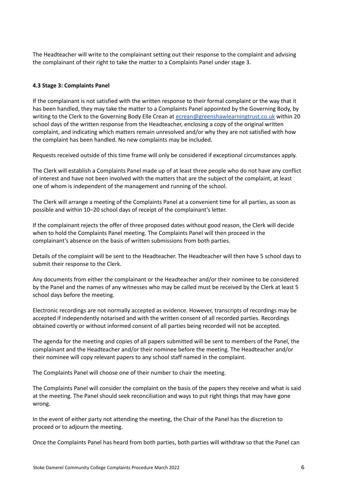The Headteacher will write to the complainant setting out their response to the complaint and advising the complainant of their right to take the matter to a Complaints Panel under stage 3.

# <span id="page-6-0"></span>**4.3 Stage 3: Complaints Panel**

If the complainant is not satisfied with the written response to their formal complaint or the way that it has been handled, they may take the matter to a Complaints Panel appointed by the Governing Body, by writing to the Clerk to the Governing Body Elle Crean at [ecrean@greenshawlearningtrust.co.uk](mailto:ecrean@greenshawlearningtrust.co.uk) within 20 school days of the written response from the Headteacher, enclosing a copy of the original written complaint, and indicating which matters remain unresolved and/or why they are not satisfied with how the complaint has been handled. No new complaints may be included.

Requests received outside of this time frame will only be considered if exceptional circumstances apply.

The Clerk will establish a Complaints Panel made up of at least three people who do not have any conflict of interest and have not been involved with the matters that are the subject of the complaint, at least one of whom is independent of the management and running of the school.

The Clerk will arrange a meeting of the Complaints Panel at a convenient time for all parties, as soon as possible and within 10–20 school days of receipt of the complainant's letter.

If the complainant rejects the offer of three proposed dates without good reason, the Clerk will decide when to hold the Complaints Panel meeting. The Complaints Panel will then proceed in the complainant's absence on the basis of written submissions from both parties.

Details of the complaint will be sent to the Headteacher. The Headteacher will then have 5 school days to submit their response to the Clerk.

Any documents from either the complainant or the Headteacher and/or their nominee to be considered by the Panel and the names of any witnesses who may be called must be received by the Clerk at least 5 school days before the meeting.

Electronic recordings are not normally accepted as evidence. However, transcripts of recordings may be accepted if independently notarised and with the written consent of all recorded parties. Recordings obtained covertly or without informed consent of all parties being recorded will not be accepted.

The agenda for the meeting and copies of all papers submitted will be sent to members of the Panel, the complainant and the Headteacher and/or their nominee before the meeting. The Headteacher and/or their nominee will copy relevant papers to any school staff named in the complaint.

The Complaints Panel will choose one of their number to chair the meeting.

The Complaints Panel will consider the complaint on the basis of the papers they receive and what is said at the meeting. The Panel should seek reconciliation and ways to put right things that may have gone wrong.

In the event of either party not attending the meeting, the Chair of the Panel has the discretion to proceed or to adjourn the meeting.

Once the Complaints Panel has heard from both parties, both parties will withdraw so that the Panel can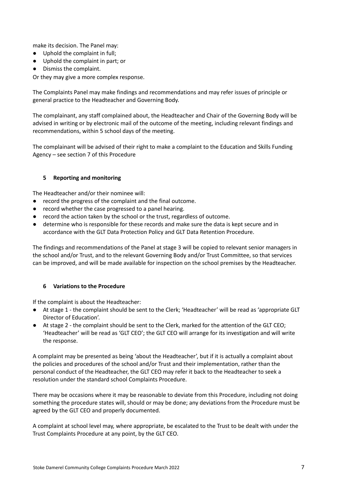make its decision. The Panel may:

- Uphold the complaint in full;
- Uphold the complaint in part; or
- Dismiss the complaint.

Or they may give a more complex response.

The Complaints Panel may make findings and recommendations and may refer issues of principle or general practice to the Headteacher and Governing Body.

The complainant, any staff complained about, the Headteacher and Chair of the Governing Body will be advised in writing or by electronic mail of the outcome of the meeting, including relevant findings and recommendations, within 5 school days of the meeting.

The complainant will be advised of their right to make a complaint to the Education and Skills Funding Agency – see section 7 of this Procedure

# <span id="page-7-0"></span>**5 Reporting and monitoring**

The Headteacher and/or their nominee will:

- record the progress of the complaint and the final outcome.
- record whether the case progressed to a panel hearing.
- record the action taken by the school or the trust, regardless of outcome.
- determine who is responsible for these records and make sure the data is kept secure and in accordance with the GLT Data Protection Policy and GLT Data Retention Procedure.

The findings and recommendations of the Panel at stage 3 will be copied to relevant senior managers in the school and/or Trust, and to the relevant Governing Body and/or Trust Committee, so that services can be improved, and will be made available for inspection on the school premises by the Headteacher.

# <span id="page-7-1"></span>**6 Variations to the Procedure**

If the complaint is about the Headteacher:

- At stage 1 the complaint should be sent to the Clerk; 'Headteacher' will be read as 'appropriate GLT Director of Education'.
- At stage 2 the complaint should be sent to the Clerk, marked for the attention of the GLT CEO; 'Headteacher' will be read as 'GLT CEO'; the GLT CEO will arrange for its investigation and will write the response.

A complaint may be presented as being 'about the Headteacher', but if it is actually a complaint about the policies and procedures of the school and/or Trust and their implementation, rather than the personal conduct of the Headteacher, the GLT CEO may refer it back to the Headteacher to seek a resolution under the standard school Complaints Procedure.

There may be occasions where it may be reasonable to deviate from this Procedure, including not doing something the procedure states will, should or may be done; any deviations from the Procedure must be agreed by the GLT CEO and properly documented.

A complaint at school level may, where appropriate, be escalated to the Trust to be dealt with under the Trust Complaints Procedure at any point, by the GLT CEO.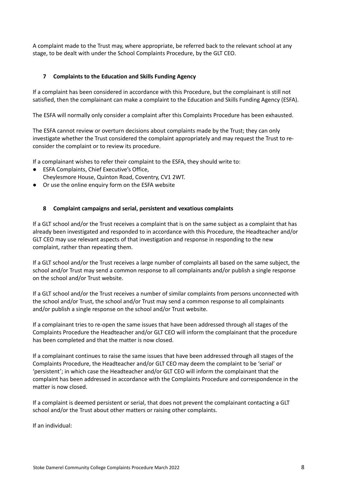A complaint made to the Trust may, where appropriate, be referred back to the relevant school at any stage, to be dealt with under the School Complaints Procedure, by the GLT CEO.

# <span id="page-8-0"></span>**7 Complaints to the Education and Skills Funding Agency**

If a complaint has been considered in accordance with this Procedure, but the complainant is still not satisfied, then the complainant can make a complaint to the Education and Skills Funding Agency (ESFA).

The ESFA will normally only consider a complaint after this Complaints Procedure has been exhausted.

The ESFA cannot review or overturn decisions about complaints made by the Trust; they can only investigate whether the Trust considered the complaint appropriately and may request the Trust to reconsider the complaint or to review its procedure.

If a complainant wishes to refer their complaint to the ESFA, they should write to:

- ESFA Complaints, Chief Executive's Office,
- Cheylesmore House, Quinton Road, Coventry, CV1 2WT.
- Or use the online enquiry form on the ESFA website

# <span id="page-8-1"></span>**8 Complaint campaigns and serial, persistent and vexatious complaints**

If a GLT school and/or the Trust receives a complaint that is on the same subject as a complaint that has already been investigated and responded to in accordance with this Procedure, the Headteacher and/or GLT CEO may use relevant aspects of that investigation and response in responding to the new complaint, rather than repeating them.

If a GLT school and/or the Trust receives a large number of complaints all based on the same subject, the school and/or Trust may send a common response to all complainants and/or publish a single response on the school and/or Trust website.

If a GLT school and/or the Trust receives a number of similar complaints from persons unconnected with the school and/or Trust, the school and/or Trust may send a common response to all complainants and/or publish a single response on the school and/or Trust website.

If a complainant tries to re-open the same issues that have been addressed through all stages of the Complaints Procedure the Headteacher and/or GLT CEO will inform the complainant that the procedure has been completed and that the matter is now closed.

If a complainant continues to raise the same issues that have been addressed through all stages of the Complaints Procedure, the Headteacher and/or GLT CEO may deem the complaint to be 'serial' or 'persistent'; in which case the Headteacher and/or GLT CEO will inform the complainant that the complaint has been addressed in accordance with the Complaints Procedure and correspondence in the matter is now closed.

If a complaint is deemed persistent or serial, that does not prevent the complainant contacting a GLT school and/or the Trust about other matters or raising other complaints.

If an individual: